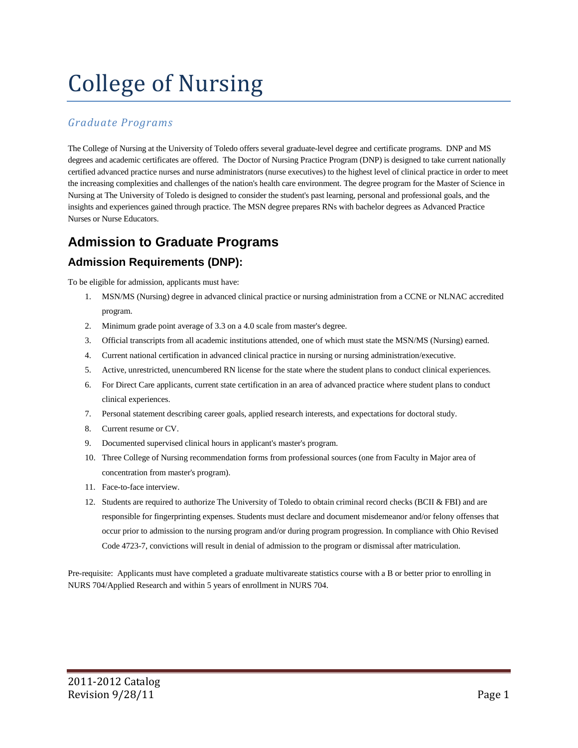# College of Nursing

#### *Graduate Programs*

The College of Nursing at the University of Toledo offers several graduate-level degree and certificate programs. DNP and MS degrees and academic certificates are offered. The Doctor of Nursing Practice Program (DNP) is designed to take current nationally certified advanced practice nurses and nurse administrators (nurse executives) to the highest level of clinical practice in order to meet the increasing complexities and challenges of the nation's health care environment. The degree program for the Master of Science in Nursing at The University of Toledo is designed to consider the student's past learning, personal and professional goals, and the insights and experiences gained through practice. The MSN degree prepares RNs with bachelor degrees as Advanced Practice Nurses or Nurse Educators.

## **Admission to Graduate Programs**

## **Admission Requirements (DNP):**

To be eligible for admission, applicants must have:

- 1. MSN/MS (Nursing) degree in advanced clinical practice or nursing administration from a CCNE or NLNAC accredited program.
- 2. Minimum grade point average of 3.3 on a 4.0 scale from master's degree.
- 3. Official transcripts from all academic institutions attended, one of which must state the MSN/MS (Nursing) earned.
- 4. Current national certification in advanced clinical practice in nursing or nursing administration/executive.
- 5. Active, unrestricted, unencumbered RN license for the state where the student plans to conduct clinical experiences.
- 6. For Direct Care applicants, current state certification in an area of advanced practice where student plans to conduct clinical experiences.
- 7. Personal statement describing career goals, applied research interests, and expectations for doctoral study.
- 8. Current resume or CV.
- 9. Documented supervised clinical hours in applicant's master's program.
- 10. Three College of Nursing recommendation forms from professional sources (one from Faculty in Major area of concentration from master's program).
- 11. Face-to-face interview.
- 12. Students are required to authorize The University of Toledo to obtain criminal record checks (BCII & FBI) and are responsible for fingerprinting expenses. Students must declare and document misdemeanor and/or felony offenses that occur prior to admission to the nursing program and/or during program progression. In compliance with Ohio Revised Code 4723-7, convictions will result in denial of admission to the program or dismissal after matriculation.

Pre-requisite: Applicants must have completed a graduate multivareate statistics course with a B or better prior to enrolling in NURS 704/Applied Research and within 5 years of enrollment in NURS 704.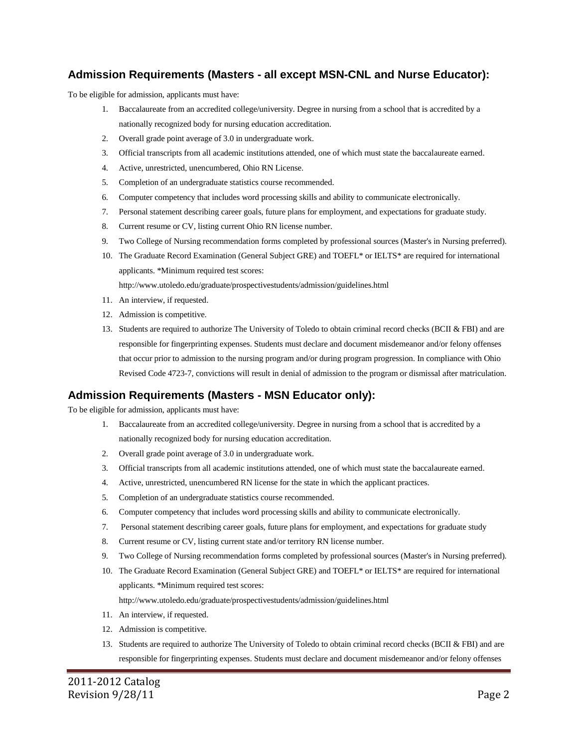#### **Admission Requirements (Masters - all except MSN-CNL and Nurse Educator):**

To be eligible for admission, applicants must have:

- 1. Baccalaureate from an accredited college/university. Degree in nursing from a school that is accredited by a nationally recognized body for nursing education accreditation.
- 2. Overall grade point average of 3.0 in undergraduate work.
- 3. Official transcripts from all academic institutions attended, one of which must state the baccalaureate earned.
- 4. Active, unrestricted, unencumbered, Ohio RN License.
- 5. Completion of an undergraduate statistics course recommended.
- 6. Computer competency that includes word processing skills and ability to communicate electronically.
- 7. Personal statement describing career goals, future plans for employment, and expectations for graduate study.
- 8. Current resume or CV, listing current Ohio RN license number.
- 9. Two College of Nursing recommendation forms completed by professional sources (Master's in Nursing preferred).
- 10. The Graduate Record Examination (General Subject GRE) and TOEFL\* or IELTS\* are required for international applicants. \*Minimum required test scores:

<http://www.utoledo.edu/graduate/prospectivestudents/admission/guidelines.html>

- 11. An interview, if requested.
- 12. Admission is competitive.
- 13. Students are required to authorize The University of Toledo to obtain criminal record checks (BCII & FBI) and are responsible for fingerprinting expenses. Students must declare and document misdemeanor and/or felony offenses that occur prior to admission to the nursing program and/or during program progression. In compliance with Ohio Revised Code 4723-7, convictions will result in denial of admission to the program or dismissal after matriculation.

#### **Admission Requirements (Masters - MSN Educator only):**

To be eligible for admission, applicants must have:

- 1. Baccalaureate from an accredited college/university. Degree in nursing from a school that is accredited by a nationally recognized body for nursing education accreditation.
- 2. Overall grade point average of 3.0 in undergraduate work.
- 3. Official transcripts from all academic institutions attended, one of which must state the baccalaureate earned.
- 4. Active, unrestricted, unencumbered RN license for the state in which the applicant practices.
- 5. Completion of an undergraduate statistics course recommended.
- 6. Computer competency that includes word processing skills and ability to communicate electronically.
- 7. Personal statement describing career goals, future plans for employment, and expectations for graduate study
- 8. Current resume or CV, listing current state and/or territory RN license number.
- 9. Two College of Nursing recommendation forms completed by professional sources (Master's in Nursing preferred).
- 10. The Graduate Record Examination (General Subject GRE) and TOEFL\* or IELTS\* are required for international applicants. \*Minimum required test scores:

<http://www.utoledo.edu/graduate/prospectivestudents/admission/guidelines.html>

- 11. An interview, if requested.
- 12. Admission is competitive.
- 13. Students are required to authorize The University of Toledo to obtain criminal record checks (BCII & FBI) and are responsible for fingerprinting expenses. Students must declare and document misdemeanor and/or felony offenses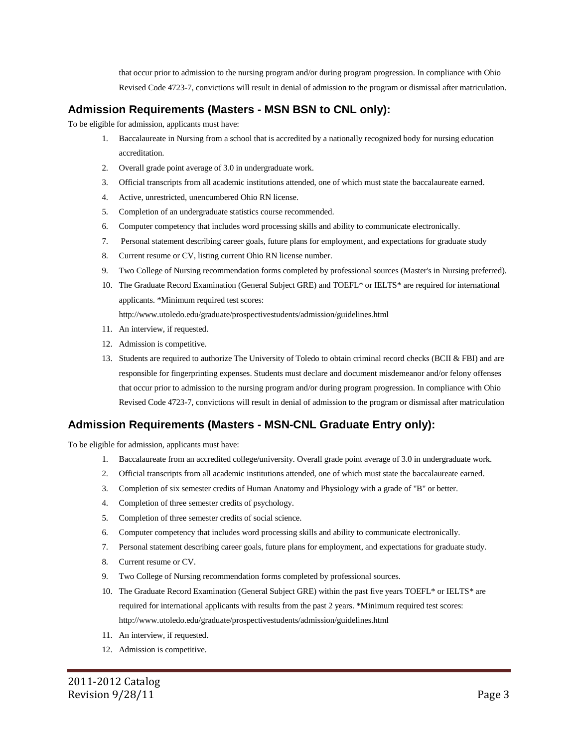that occur prior to admission to the nursing program and/or during program progression. In compliance with Ohio Revised Code 4723-7, convictions will result in denial of admission to the program or dismissal after matriculation.

#### **Admission Requirements (Masters - MSN BSN to CNL only):**

To be eligible for admission, applicants must have:

- 1. Baccalaureate in Nursing from a school that is accredited by a nationally recognized body for nursing education accreditation.
- 2. Overall grade point average of 3.0 in undergraduate work.
- 3. Official transcripts from all academic institutions attended, one of which must state the baccalaureate earned.
- 4. Active, unrestricted, unencumbered Ohio RN license.
- 5. Completion of an undergraduate statistics course recommended.
- 6. Computer competency that includes word processing skills and ability to communicate electronically.
- 7. Personal statement describing career goals, future plans for employment, and expectations for graduate study
- 8. Current resume or CV, listing current Ohio RN license number.
- 9. Two College of Nursing recommendation forms completed by professional sources (Master's in Nursing preferred).
- 10. The Graduate Record Examination (General Subject GRE) and TOEFL\* or IELTS\* are required for international applicants. \*Minimum required test scores: <http://www.utoledo.edu/graduate/prospectivestudents/admission/guidelines.html>
- 11. An interview, if requested.
- 12. Admission is competitive.
- 13. Students are required to authorize The University of Toledo to obtain criminal record checks (BCII & FBI) and are responsible for fingerprinting expenses. Students must declare and document misdemeanor and/or felony offenses that occur prior to admission to the nursing program and/or during program progression. In compliance with Ohio Revised Code 4723-7, convictions will result in denial of admission to the program or dismissal after matriculation

#### **Admission Requirements (Masters - MSN-CNL Graduate Entry only):**

To be eligible for admission, applicants must have:

- 1. Baccalaureate from an accredited college/university. Overall grade point average of 3.0 in undergraduate work.
- 2. Official transcripts from all academic institutions attended, one of which must state the baccalaureate earned.
- 3. Completion of six semester credits of Human Anatomy and Physiology with a grade of "B" or better.
- 4. Completion of three semester credits of psychology.
- 5. Completion of three semester credits of social science.
- 6. Computer competency that includes word processing skills and ability to communicate electronically.
- 7. Personal statement describing career goals, future plans for employment, and expectations for graduate study.
- 8. Current resume or CV.
- 9. Two College of Nursing recommendation forms completed by professional sources.
- 10. The Graduate Record Examination (General Subject GRE) within the past five years TOEFL\* or IELTS\* are required for international applicants with results from the past 2 years. \*Minimum required test scores: <http://www.utoledo.edu/graduate/prospectivestudents/admission/guidelines.html>
- 11. An interview, if requested.
- 12. Admission is competitive.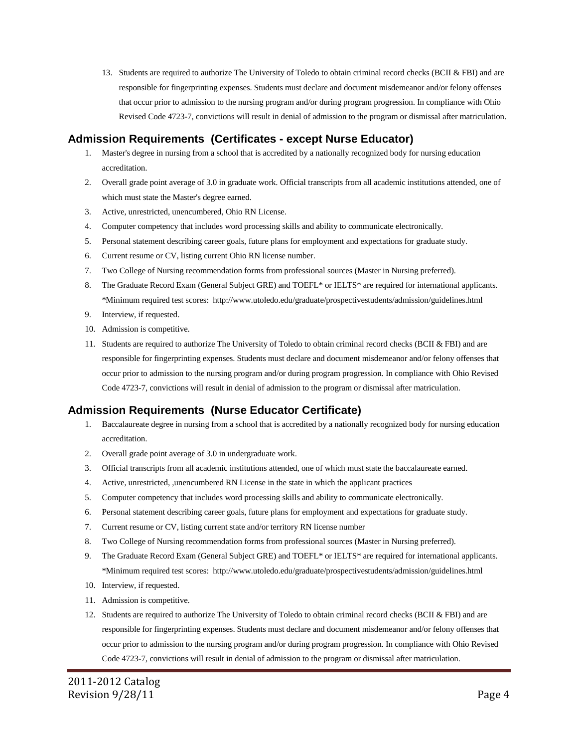13. Students are required to authorize The University of Toledo to obtain criminal record checks (BCII & FBI) and are responsible for fingerprinting expenses. Students must declare and document misdemeanor and/or felony offenses that occur prior to admission to the nursing program and/or during program progression. In compliance with Ohio Revised Code 4723-7, convictions will result in denial of admission to the program or dismissal after matriculation.

#### **Admission Requirements (Certificates - except Nurse Educator)**

- 1. Master's degree in nursing from a school that is accredited by a nationally recognized body for nursing education accreditation.
- 2. Overall grade point average of 3.0 in graduate work. Official transcripts from all academic institutions attended, one of which must state the Master's degree earned.
- 3. Active, unrestricted, unencumbered, Ohio RN License.
- 4. Computer competency that includes word processing skills and ability to communicate electronically.
- 5. Personal statement describing career goals, future plans for employment and expectations for graduate study.
- 6. Current resume or CV, listing current Ohio RN license number.
- 7. Two College of Nursing recommendation forms from professional sources (Master in Nursing preferred).
- 8. The Graduate Record Exam (General Subject GRE) and TOEFL\* or IELTS\* are required for international applicants. \*Minimum required test scores:<http://www.utoledo.edu/graduate/prospectivestudents/admission/guidelines.html>
- 9. Interview, if requested.
- 10. Admission is competitive.
- 11. Students are required to authorize The University of Toledo to obtain criminal record checks (BCII & FBI) and are responsible for fingerprinting expenses. Students must declare and document misdemeanor and/or felony offenses that occur prior to admission to the nursing program and/or during program progression. In compliance with Ohio Revised Code 4723-7, convictions will result in denial of admission to the program or dismissal after matriculation.

#### **Admission Requirements (Nurse Educator Certificate)**

- 1. Baccalaureate degree in nursing from a school that is accredited by a nationally recognized body for nursing education accreditation.
- 2. Overall grade point average of 3.0 in undergraduate work.
- 3. Official transcripts from all academic institutions attended, one of which must state the baccalaureate earned.
- 4. Active, unrestricted, ,unencumbered RN License in the state in which the applicant practices
- 5. Computer competency that includes word processing skills and ability to communicate electronically.
- 6. Personal statement describing career goals, future plans for employment and expectations for graduate study.
- 7. Current resume or CV, listing current state and/or territory RN license number
- 8. Two College of Nursing recommendation forms from professional sources (Master in Nursing preferred).
- 9. The Graduate Record Exam (General Subject GRE) and TOEFL\* or IELTS\* are required for international applicants. \*Minimum required test scores:<http://www.utoledo.edu/graduate/prospectivestudents/admission/guidelines.html>
- 10. Interview, if requested.
- 11. Admission is competitive.
- 12. Students are required to authorize The University of Toledo to obtain criminal record checks (BCII & FBI) and are responsible for fingerprinting expenses. Students must declare and document misdemeanor and/or felony offenses that occur prior to admission to the nursing program and/or during program progression. In compliance with Ohio Revised Code 4723-7, convictions will result in denial of admission to the program or dismissal after matriculation.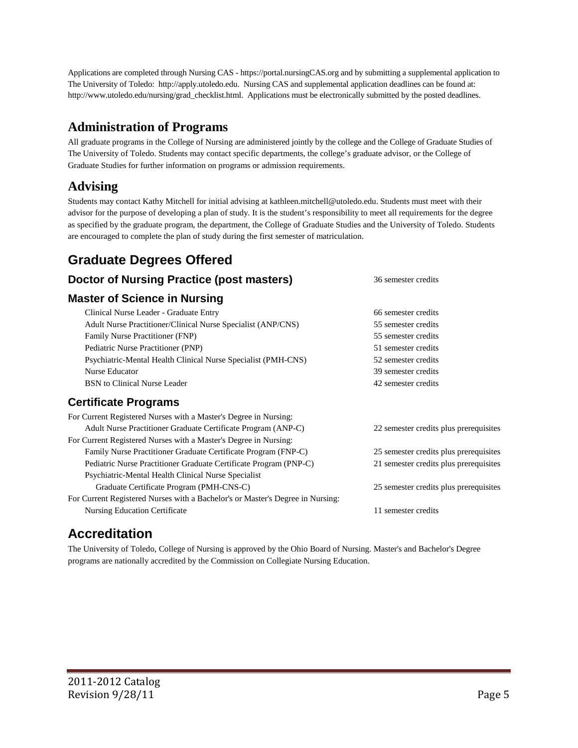Applications are completed through Nursing CAS - https://portal.nursingCAS.org and by submitting a supplemental application to The University of Toledo: http://apply.utoledo.edu. Nursing CAS and supplemental application deadlines can be found at: http://www.utoledo.edu/nursing/grad\_checklist.html. Applications must be electronically submitted by the posted deadlines.

## **Administration of Programs**

All graduate programs in the College of Nursing are administered jointly by the college and the College of Graduate Studies of The University of Toledo. Students may contact specific departments, the college's graduate advisor, or the College of Graduate Studies for further information on programs or admission requirements.

## **Advising**

Students may contact Kathy Mitchell for initial advising a[t kathleen.mitchell@utoledo.edu.](mailto:kathleen.mitchell@utoledo.edu) Students must meet with their advisor for the purpose of developing a plan of study. It is the student's responsibility to meet all requirements for the degree as specified by the graduate program, the department, the College of Graduate Studies and the University of Toledo. Students are encouraged to complete the plan of study during the first semester of matriculation.

## **Graduate Degrees Offered**

#### **Doctor of Nursing Practice (post masters)** 36 semester credits **Master of Science in Nursing** Clinical Nurse Leader - Graduate Entry 66 semester credits Adult Nurse Practitioner/Clinical Nurse Specialist (ANP/CNS) 55 semester credits Family Nurse Practitioner (FNP) 55 semester credits Pediatric Nurse Practitioner (PNP) 51 semester credits Psychiatric-Mental Health Clinical Nurse Specialist (PMH-CNS) 52 semester credits Nurse Educator 39 semester credits BSN to Clinical Nurse Leader 2008 and the semester credits of the 42 semester credits **Certificate Programs** For Current Registered Nurses with a Master's Degree in Nursing: Adult Nurse Practitioner Graduate Certificate Program (ANP-C) 22 semester credits plus prerequisites For Current Registered Nurses with a Master's Degree in Nursing: Family Nurse Practitioner Graduate Certificate Program (FNP-C) 25 semester credits plus prerequisites Pediatric Nurse Practitioner Graduate Certificate Program (PNP-C) 21 semester credits plus prerequisites Psychiatric-Mental Health Clinical Nurse Specialist Graduate Certificate Program (PMH-CNS-C) 25 semester credits plus prerequisites For Current Registered Nurses with a Bachelor's or Master's Degree in Nursing:

Nursing Education Certificate 11 semester credits

# **Accreditation**

The University of Toledo, College of Nursing is approved by the Ohio Board of Nursing. Master's and Bachelor's Degree programs are nationally accredited by the Commission on Collegiate Nursing Education.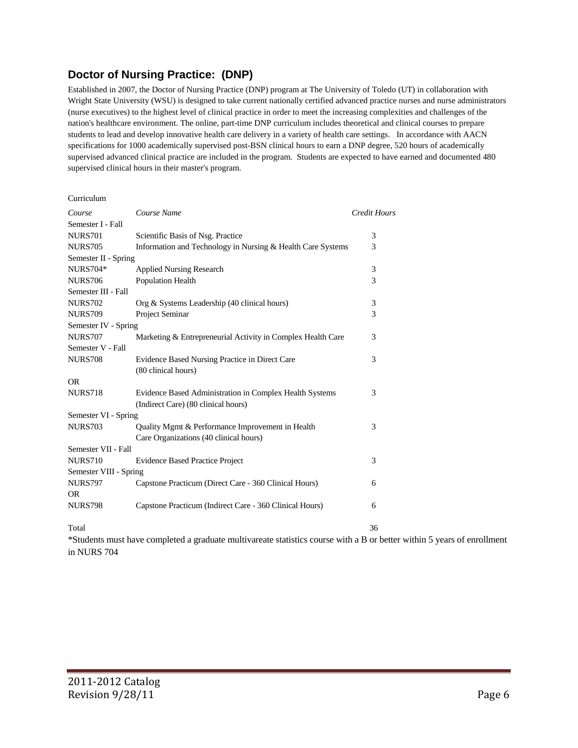#### **Doctor of Nursing Practice: (DNP)**

Established in 2007, the Doctor of Nursing Practice (DNP) program at The University of Toledo (UT) in collaboration with Wright State University (WSU) is designed to take current nationally certified advanced practice nurses and nurse administrators (nurse executives) to the highest level of clinical practice in order to meet the increasing complexities and challenges of the nation's healthcare environment. The online, part-time DNP curriculum includes theoretical and clinical courses to prepare students to lead and develop innovative health care delivery in a variety of health care settings. In accordance with AACN specifications for 1000 academically supervised post-BSN clinical hours to earn a DNP degree, 520 hours of academically supervised advanced clinical practice are included in the program. Students are expected to have earned and documented 480 supervised clinical hours in their master's program.

| Curriculum             |                                                                                                                         |                     |
|------------------------|-------------------------------------------------------------------------------------------------------------------------|---------------------|
| Course                 | Course Name                                                                                                             | <b>Credit Hours</b> |
| Semester I - Fall      |                                                                                                                         |                     |
| <b>NURS701</b>         | Scientific Basis of Nsg. Practice                                                                                       | 3                   |
| <b>NURS705</b>         | Information and Technology in Nursing & Health Care Systems                                                             | 3                   |
| Semester II - Spring   |                                                                                                                         |                     |
| <b>NURS704*</b>        | <b>Applied Nursing Research</b>                                                                                         | 3                   |
| <b>NURS706</b>         | Population Health                                                                                                       | 3                   |
| Semester III - Fall    |                                                                                                                         |                     |
| <b>NURS702</b>         | Org & Systems Leadership (40 clinical hours)                                                                            | 3                   |
| <b>NURS709</b>         | Project Seminar                                                                                                         | 3                   |
| Semester IV - Spring   |                                                                                                                         |                     |
| <b>NURS707</b>         | Marketing & Entrepreneurial Activity in Complex Health Care                                                             | 3                   |
| Semester V - Fall      |                                                                                                                         |                     |
| <b>NURS708</b>         | Evidence Based Nursing Practice in Direct Care                                                                          | 3                   |
|                        | (80 clinical hours)                                                                                                     |                     |
| <b>OR</b>              |                                                                                                                         |                     |
| <b>NURS718</b>         | Evidence Based Administration in Complex Health Systems                                                                 | 3                   |
|                        | (Indirect Care) (80 clinical hours)                                                                                     |                     |
| Semester VI - Spring   |                                                                                                                         |                     |
| <b>NURS703</b>         | Quality Mgmt & Performance Improvement in Health                                                                        | 3                   |
|                        | Care Organizations (40 clinical hours)                                                                                  |                     |
| Semester VII - Fall    |                                                                                                                         |                     |
| <b>NURS710</b>         | <b>Evidence Based Practice Project</b>                                                                                  | 3                   |
| Semester VIII - Spring |                                                                                                                         |                     |
| <b>NURS797</b>         | Capstone Practicum (Direct Care - 360 Clinical Hours)                                                                   | 6                   |
| <b>OR</b>              |                                                                                                                         |                     |
| <b>NURS798</b>         | Capstone Practicum (Indirect Care - 360 Clinical Hours)                                                                 | 6                   |
| Total                  |                                                                                                                         | 36                  |
|                        | *Students must have completed a graduate multivareate statistics course with a B or better within 5 years of enrollment |                     |

in NURS 704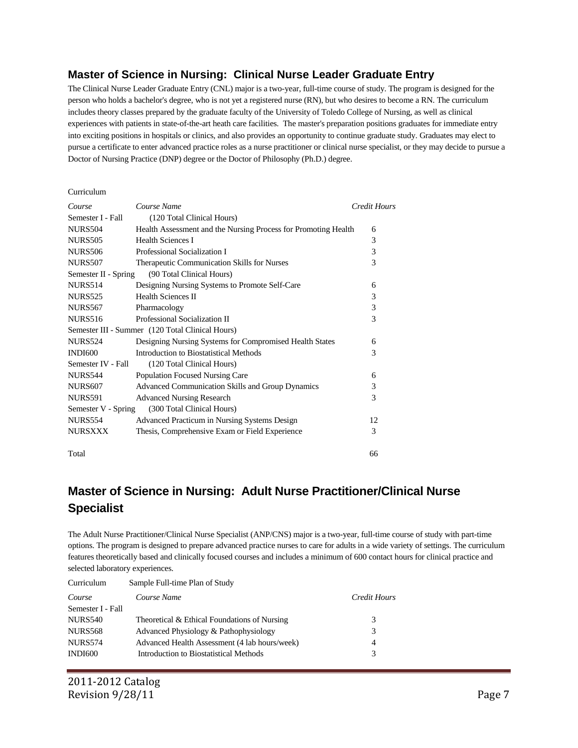#### **Master of Science in Nursing: Clinical Nurse Leader Graduate Entry**

The Clinical Nurse Leader Graduate Entry (CNL) major is a two-year, full-time course of study. The program is designed for the person who holds a bachelor's degree, who is not yet a registered nurse (RN), but who desires to become a RN. The curriculum includes theory classes prepared by the graduate faculty of the University of Toledo College of Nursing, as well as clinical experiences with patients in state-of-the-art heath care facilities. The master's preparation positions graduates for immediate entry into exciting positions in hospitals or clinics, and also provides an opportunity to continue graduate study. Graduates may elect to pursue a certificate to enter advanced practice roles as a nurse practitioner or clinical nurse specialist, or they may decide to pursue a Doctor of Nursing Practice (DNP) degree or the Doctor of Philosophy (Ph.D.) degree.

#### Curriculum

| Course               | Course Name                                                    | Credit Hours |
|----------------------|----------------------------------------------------------------|--------------|
| Semester I - Fall    | (120 Total Clinical Hours)                                     |              |
| <b>NURS504</b>       | Health Assessment and the Nursing Process for Promoting Health | 6            |
| <b>NURS505</b>       | <b>Health Sciences I</b>                                       | 3            |
| <b>NURS506</b>       | Professional Socialization I                                   | 3            |
| <b>NURS507</b>       | Therapeutic Communication Skills for Nurses                    | 3            |
| Semester II - Spring | (90 Total Clinical Hours)                                      |              |
| <b>NURS514</b>       | Designing Nursing Systems to Promote Self-Care                 | 6            |
| <b>NURS525</b>       | <b>Health Sciences II</b>                                      | 3            |
| <b>NURS567</b>       | Pharmacology                                                   | 3            |
| <b>NURS516</b>       | Professional Socialization II                                  | 3            |
|                      | Semester III - Summer (120 Total Clinical Hours)               |              |
| <b>NURS524</b>       | Designing Nursing Systems for Compromised Health States        | 6            |
| <b>INDI600</b>       | Introduction to Biostatistical Methods                         | 3            |
| Semester IV - Fall   | (120 Total Clinical Hours)                                     |              |
| <b>NURS544</b>       | Population Focused Nursing Care                                | 6            |
| <b>NURS607</b>       | <b>Advanced Communication Skills and Group Dynamics</b>        | 3            |
| <b>NURS591</b>       | <b>Advanced Nursing Research</b>                               | 3            |
| Semester V - Spring  | (300 Total Clinical Hours)                                     |              |
| <b>NURS554</b>       | Advanced Practicum in Nursing Systems Design                   | 12           |
| <b>NURSXXX</b>       | Thesis, Comprehensive Exam or Field Experience                 | 3            |
| Total                |                                                                | 66           |

## **Master of Science in Nursing: Adult Nurse Practitioner/Clinical Nurse Specialist**

The Adult Nurse Practitioner/Clinical Nurse Specialist (ANP/CNS) major is a two-year, full-time course of study with part-time options. The program is designed to prepare advanced practice nurses to care for adults in a wide variety of settings. The curriculum features theoretically based and clinically focused courses and includes a minimum of 600 contact hours for clinical practice and selected laboratory experiences.

| Curriculum        | Sample Full-time Plan of Study                |              |
|-------------------|-----------------------------------------------|--------------|
| Course            | Course Name                                   | Credit Hours |
| Semester I - Fall |                                               |              |
| <b>NURS540</b>    | Theoretical & Ethical Foundations of Nursing  | 3            |
| <b>NURS568</b>    | Advanced Physiology & Pathophysiology         | 3            |
| <b>NURS574</b>    | Advanced Health Assessment (4 lab hours/week) | 4            |
| <b>INDI600</b>    | Introduction to Biostatistical Methods        | 3            |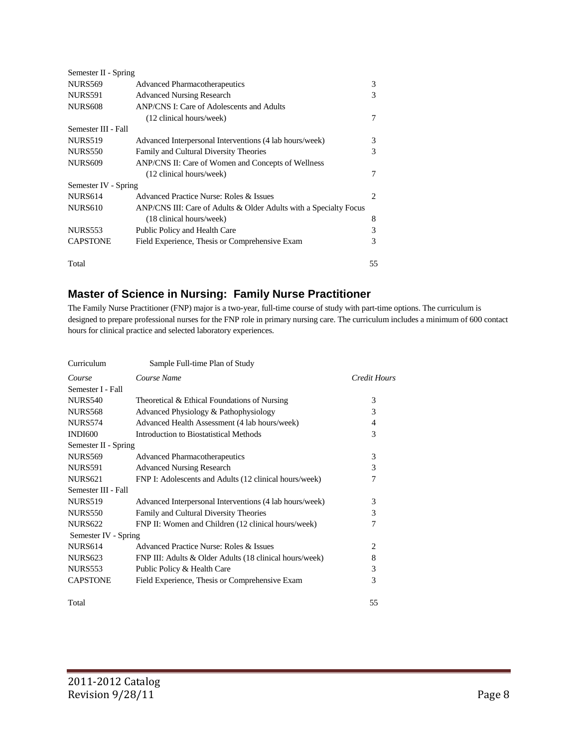| Semester II - Spring |                                                                   |    |
|----------------------|-------------------------------------------------------------------|----|
| <b>NURS569</b>       | <b>Advanced Pharmacotherapeutics</b>                              | 3  |
| <b>NURS591</b>       | <b>Advanced Nursing Research</b>                                  | 3  |
| <b>NURS608</b>       | ANP/CNS I: Care of Adolescents and Adults                         |    |
|                      | (12 clinical hours/week)                                          | 7  |
| Semester III - Fall  |                                                                   |    |
| <b>NURS519</b>       | Advanced Interpersonal Interventions (4 lab hours/week)           | 3  |
| <b>NURS550</b>       | Family and Cultural Diversity Theories                            | 3  |
| <b>NURS609</b>       | ANP/CNS II: Care of Women and Concepts of Wellness                |    |
|                      | (12 clinical hours/week)                                          | 7  |
| Semester IV - Spring |                                                                   |    |
| <b>NURS614</b>       | Advanced Practice Nurse: Roles & Issues                           | 2  |
| <b>NURS610</b>       | ANP/CNS III: Care of Adults & Older Adults with a Specialty Focus |    |
|                      | (18 clinical hours/week)                                          | 8  |
| <b>NURS553</b>       | Public Policy and Health Care                                     | 3  |
| <b>CAPSTONE</b>      | Field Experience, Thesis or Comprehensive Exam                    | 3  |
| Total                |                                                                   | 55 |

#### **Master of Science in Nursing: Family Nurse Practitioner**

The Family Nurse Practitioner (FNP) major is a two-year, full-time course of study with part-time options. The curriculum is designed to prepare professional nurses for the FNP role in primary nursing care. The curriculum includes a minimum of 600 contact hours for clinical practice and selected laboratory experiences.

| Curriculum           | Sample Full-time Plan of Study                          |              |
|----------------------|---------------------------------------------------------|--------------|
| Course               | Course Name                                             | Credit Hours |
| Semester I - Fall    |                                                         |              |
| <b>NURS540</b>       | Theoretical & Ethical Foundations of Nursing            | 3            |
| <b>NURS568</b>       | Advanced Physiology & Pathophysiology                   | 3            |
| <b>NURS574</b>       | Advanced Health Assessment (4 lab hours/week)           | 4            |
| <b>INDI600</b>       | <b>Introduction to Biostatistical Methods</b>           | 3            |
| Semester II - Spring |                                                         |              |
| <b>NURS569</b>       | <b>Advanced Pharmacotherapeutics</b>                    | 3            |
| NURS591              | <b>Advanced Nursing Research</b>                        | 3            |
| <b>NURS621</b>       | FNP I: Adolescents and Adults (12 clinical hours/week)  | 7            |
| Semester III - Fall  |                                                         |              |
| <b>NURS519</b>       | Advanced Interpersonal Interventions (4 lab hours/week) | 3            |
| <b>NURS550</b>       | Family and Cultural Diversity Theories                  | 3            |
| <b>NURS622</b>       | FNP II: Women and Children (12 clinical hours/week)     | 7            |
| Semester IV - Spring |                                                         |              |
| <b>NURS614</b>       | Advanced Practice Nurse: Roles & Issues                 | 2            |
| <b>NURS623</b>       | FNP III: Adults & Older Adults (18 clinical hours/week) | 8            |
| <b>NURS553</b>       | Public Policy & Health Care                             | 3            |
| <b>CAPSTONE</b>      | Field Experience, Thesis or Comprehensive Exam          | 3            |
| Total                |                                                         | 55           |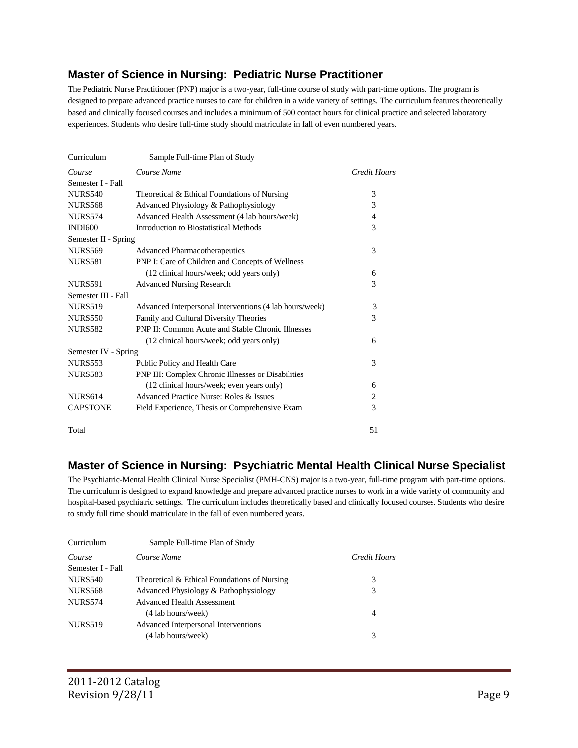#### **Master of Science in Nursing: Pediatric Nurse Practitioner**

The Pediatric Nurse Practitioner (PNP) major is a two-year, full-time course of study with part-time options. The program is designed to prepare advanced practice nurses to care for children in a wide variety of settings. The curriculum features theoretically based and clinically focused courses and includes a minimum of 500 contact hours for clinical practice and selected laboratory experiences. Students who desire full-time study should matriculate in fall of even numbered years.

| Curriculum           | Sample Full-time Plan of Study                           |              |
|----------------------|----------------------------------------------------------|--------------|
| Course               | Course Name                                              | Credit Hours |
| Semester I - Fall    |                                                          |              |
| <b>NURS540</b>       | Theoretical & Ethical Foundations of Nursing             | 3            |
| <b>NURS568</b>       | Advanced Physiology & Pathophysiology                    | 3            |
| <b>NURS574</b>       | Advanced Health Assessment (4 lab hours/week)            | 4            |
| <b>INDI600</b>       | <b>Introduction to Biostatistical Methods</b>            | 3            |
| Semester II - Spring |                                                          |              |
| <b>NURS569</b>       | <b>Advanced Pharmacotherapeutics</b>                     | 3            |
| <b>NURS581</b>       | PNP I: Care of Children and Concepts of Wellness         |              |
|                      | (12 clinical hours/week; odd years only)                 | 6            |
| <b>NURS591</b>       | <b>Advanced Nursing Research</b>                         | 3            |
| Semester III - Fall  |                                                          |              |
| <b>NURS519</b>       | Advanced Interpersonal Interventions (4 lab hours/week)  | 3            |
| <b>NURS550</b>       | Family and Cultural Diversity Theories                   | 3            |
| <b>NURS582</b>       | <b>PNP II: Common Acute and Stable Chronic Illnesses</b> |              |
|                      | (12 clinical hours/week; odd years only)                 | 6            |
| Semester IV - Spring |                                                          |              |
| <b>NURS553</b>       | Public Policy and Health Care                            | 3            |
| <b>NURS583</b>       | PNP III: Complex Chronic Illnesses or Disabilities       |              |
|                      | (12 clinical hours/week; even years only)                | 6            |
| <b>NURS614</b>       | Advanced Practice Nurse: Roles & Issues                  | 2            |
| <b>CAPSTONE</b>      | Field Experience, Thesis or Comprehensive Exam           | 3            |
| Total                |                                                          | 51           |

#### **Master of Science in Nursing: Psychiatric Mental Health Clinical Nurse Specialist**

The Psychiatric-Mental Health Clinical Nurse Specialist (PMH-CNS) major is a two-year, full-time program with part-time options. The curriculum is designed to expand knowledge and prepare advanced practice nurses to work in a wide variety of community and hospital-based psychiatric settings. The curriculum includes theoretically based and clinically focused courses. Students who desire to study full time should matriculate in the fall of even numbered years.

| Curriculum        | Sample Full-time Plan of Study               |              |
|-------------------|----------------------------------------------|--------------|
| Course            | Course Name                                  | Credit Hours |
| Semester I - Fall |                                              |              |
| <b>NURS540</b>    | Theoretical & Ethical Foundations of Nursing | 3            |
| <b>NURS568</b>    | Advanced Physiology & Pathophysiology        | 3            |
| <b>NURS574</b>    | Advanced Health Assessment                   |              |
|                   | (4 lab hours/week)                           | 4            |
| <b>NURS519</b>    | Advanced Interpersonal Interventions         |              |
|                   | (4 lab hours/week)                           | 3            |
|                   |                                              |              |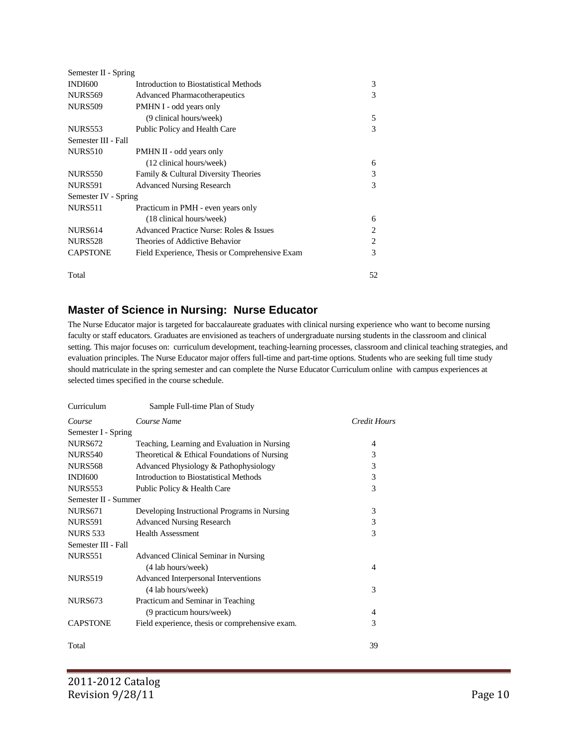| Semester II - Spring |                                                |                |
|----------------------|------------------------------------------------|----------------|
| <b>INDI600</b>       | Introduction to Biostatistical Methods         | 3              |
| <b>NURS569</b>       | <b>Advanced Pharmacotherapeutics</b>           | 3              |
| <b>NURS509</b>       | PMHN I - odd years only                        |                |
|                      | (9 clinical hours/week)                        | 5              |
| <b>NURS553</b>       | Public Policy and Health Care                  | 3              |
| Semester III - Fall  |                                                |                |
| <b>NURS510</b>       | PMHN II - odd years only                       |                |
|                      | (12 clinical hours/week)                       | 6              |
| <b>NURS550</b>       | Family & Cultural Diversity Theories           | 3              |
| <b>NURS591</b>       | <b>Advanced Nursing Research</b>               | 3              |
| Semester IV - Spring |                                                |                |
| NURS511              | Practicum in PMH - even years only             |                |
|                      | (18 clinical hours/week)                       | 6              |
| <b>NURS614</b>       | Advanced Practice Nurse: Roles & Issues        | $\overline{c}$ |
| <b>NURS528</b>       | Theories of Addictive Behavior                 | $\overline{2}$ |
| <b>CAPSTONE</b>      | Field Experience, Thesis or Comprehensive Exam | 3              |
| Total                |                                                | 52             |

#### **Master of Science in Nursing: Nurse Educator**

The Nurse Educator major is targeted for baccalaureate graduates with clinical nursing experience who want to become nursing faculty or staff educators. Graduates are envisioned as teachers of undergraduate nursing students in the classroom and clinical setting. This major focuses on: curriculum development, teaching-learning processes, classroom and clinical teaching strategies, and evaluation principles. The Nurse Educator major offers full-time and part-time options. Students who are seeking full time study should matriculate in the spring semester and can complete the Nurse Educator Curriculum online with campus experiences at selected times specified in the course schedule.

| Curriculum           | Sample Full-time Plan of Study                  |              |
|----------------------|-------------------------------------------------|--------------|
| Course               | Course Name                                     | Credit Hours |
| Semester I - Spring  |                                                 |              |
| <b>NURS672</b>       | Teaching, Learning and Evaluation in Nursing    | 4            |
| <b>NURS540</b>       | Theoretical & Ethical Foundations of Nursing    | 3            |
| <b>NURS568</b>       | Advanced Physiology & Pathophysiology           | 3            |
| <b>INDI600</b>       | Introduction to Biostatistical Methods          | 3            |
| <b>NURS553</b>       | Public Policy & Health Care                     | 3            |
| Semester II - Summer |                                                 |              |
| <b>NURS671</b>       | Developing Instructional Programs in Nursing    | 3            |
| <b>NURS591</b>       | <b>Advanced Nursing Research</b>                | 3            |
| <b>NURS 533</b>      | <b>Health Assessment</b>                        | 3            |
| Semester III - Fall  |                                                 |              |
| <b>NURS551</b>       | Advanced Clinical Seminar in Nursing            |              |
|                      | (4 lab hours/week)                              | 4            |
| <b>NURS519</b>       | Advanced Interpersonal Interventions            |              |
|                      | (4 lab hours/week)                              | 3            |
| <b>NURS673</b>       | Practicum and Seminar in Teaching               |              |
|                      | (9 practicum hours/week)                        | 4            |
| <b>CAPSTONE</b>      | Field experience, thesis or comprehensive exam. | 3            |
|                      |                                                 |              |
| Total                |                                                 | 39           |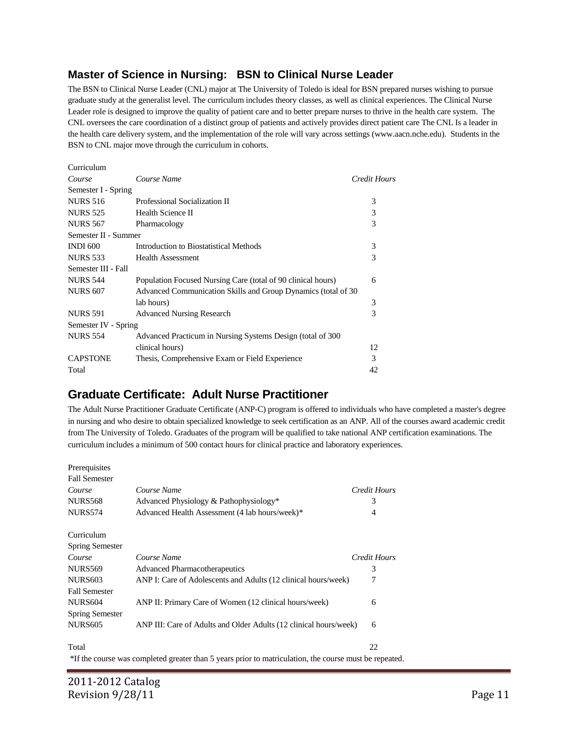#### **Master of Science in Nursing: BSN to Clinical Nurse Leader**

The BSN to Clinical Nurse Leader (CNL) major at The University of Toledo is ideal for BSN prepared nurses wishing to pursue graduate study at the generalist level. The curriculum includes theory classes, as well as clinical experiences. The Clinical Nurse Leader role is designed to improve the quality of patient care and to better prepare nurses to thrive in the health care system. The CNL oversees the care coordination of a distinct group of patients and actively provides direct patient care The CNL Is a leader in the health care delivery system, and the implementation of the role will vary across settings (www.aacn.nche.edu). Students in the BSN to CNL major move through the curriculum in cohorts.

| Curriculum           |                                                               |              |
|----------------------|---------------------------------------------------------------|--------------|
| Course               | Course Name                                                   | Credit Hours |
| Semester I - Spring  |                                                               |              |
| <b>NURS 516</b>      | Professional Socialization II                                 | 3            |
| <b>NURS 525</b>      | Health Science II                                             | 3            |
| <b>NURS 567</b>      | Pharmacology                                                  | 3            |
| Semester II - Summer |                                                               |              |
| <b>INDI 600</b>      | Introduction to Biostatistical Methods                        | 3            |
| <b>NURS 533</b>      | <b>Health Assessment</b>                                      | 3            |
| Semester III - Fall  |                                                               |              |
| <b>NURS 544</b>      | Population Focused Nursing Care (total of 90 clinical hours)  | 6            |
| <b>NURS 607</b>      | Advanced Communication Skills and Group Dynamics (total of 30 |              |
|                      | lab hours)                                                    | 3            |
| <b>NURS 591</b>      | <b>Advanced Nursing Research</b>                              | 3            |
| Semester IV - Spring |                                                               |              |
| <b>NURS 554</b>      | Advanced Practicum in Nursing Systems Design (total of 300)   |              |
|                      | clinical hours)                                               | 12           |
| <b>CAPSTONE</b>      | Thesis, Comprehensive Exam or Field Experience                | 3            |
| Total                |                                                               | 42           |
|                      |                                                               |              |

## **Graduate Certificate: Adult Nurse Practitioner**

The Adult Nurse Practitioner Graduate Certificate (ANP-C) program is offered to individuals who have completed a master's degree in nursing and who desire to obtain specialized knowledge to seek certification as an ANP. All of the courses award academic credit from The University of Toledo. Graduates of the program will be qualified to take national ANP certification examinations. The curriculum includes a minimum of 500 contact hours for clinical practice and laboratory experiences.

| Prerequisites          |                                                                                                        |              |
|------------------------|--------------------------------------------------------------------------------------------------------|--------------|
| <b>Fall Semester</b>   |                                                                                                        |              |
| Course                 | Course Name                                                                                            | Credit Hours |
| <b>NURS568</b>         | Advanced Physiology & Pathophysiology*                                                                 | 3            |
| <b>NURS574</b>         | Advanced Health Assessment (4 lab hours/week)*                                                         | 4            |
| Curriculum             |                                                                                                        |              |
| <b>Spring Semester</b> |                                                                                                        |              |
| Course                 | Course Name                                                                                            | Credit Hours |
| <b>NURS569</b>         | <b>Advanced Pharmacotherapeutics</b>                                                                   | 3            |
| <b>NURS603</b>         | ANP I: Care of Adolescents and Adults (12 clinical hours/week)                                         | 7            |
| <b>Fall Semester</b>   |                                                                                                        |              |
| <b>NURS604</b>         | ANP II: Primary Care of Women (12 clinical hours/week)                                                 | 6            |
| <b>Spring Semester</b> |                                                                                                        |              |
| <b>NURS605</b>         | ANP III: Care of Adults and Older Adults (12 clinical hours/week)                                      | 6            |
| Total                  |                                                                                                        | 22           |
|                        | *If the course was completed greater than 5 years prior to matriculation, the course must be repeated. |              |

Curriculum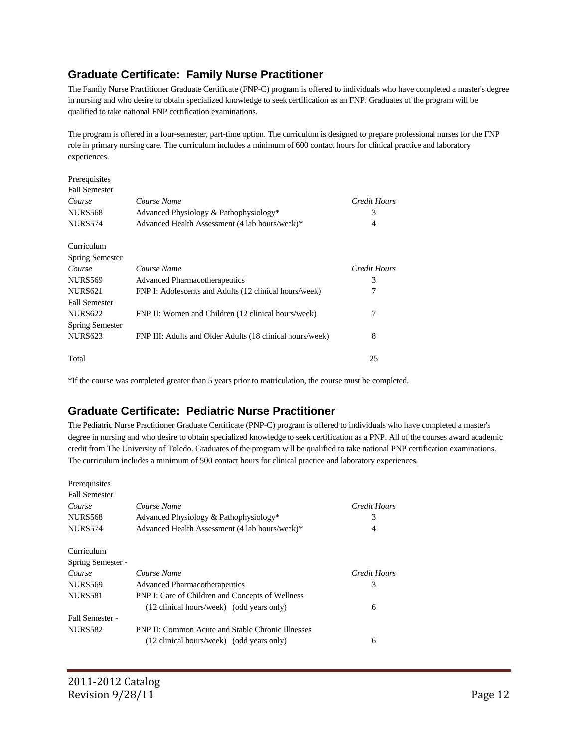#### **Graduate Certificate: Family Nurse Practitioner**

The Family Nurse Practitioner Graduate Certificate (FNP-C) program is offered to individuals who have completed a master's degree in nursing and who desire to obtain specialized knowledge to seek certification as an FNP. Graduates of the program will be qualified to take national FNP certification examinations.

The program is offered in a four-semester, part-time option. The curriculum is designed to prepare professional nurses for the FNP role in primary nursing care. The curriculum includes a minimum of 600 contact hours for clinical practice and laboratory experiences.

| Prerequisites          |                                                           |              |
|------------------------|-----------------------------------------------------------|--------------|
| <b>Fall Semester</b>   |                                                           |              |
| Course                 | Course Name                                               | Credit Hours |
| NURS568                | Advanced Physiology & Pathophysiology*                    | 3            |
| <b>NURS574</b>         | Advanced Health Assessment (4 lab hours/week)*            | 4            |
| Curriculum             |                                                           |              |
| <b>Spring Semester</b> |                                                           |              |
| Course                 | Course Name                                               | Credit Hours |
| <b>NURS569</b>         | <b>Advanced Pharmacotherapeutics</b>                      | 3            |
| <b>NURS621</b>         | FNP I: Adolescents and Adults (12 clinical hours/week)    | 7            |
| <b>Fall Semester</b>   |                                                           |              |
| <b>NURS622</b>         | FNP II: Women and Children (12 clinical hours/week)       | 7            |
| <b>Spring Semester</b> |                                                           |              |
| <b>NURS623</b>         | FNP III: Adults and Older Adults (18 clinical hours/week) | 8            |
| Total                  |                                                           | 25           |

\*If the course was completed greater than 5 years prior to matriculation, the course must be completed.

#### **Graduate Certificate: Pediatric Nurse Practitioner**

The Pediatric Nurse Practitioner Graduate Certificate (PNP-C) program is offered to individuals who have completed a master's degree in nursing and who desire to obtain specialized knowledge to seek certification as a PNP. All of the courses award academic credit from The University of Toledo. Graduates of the program will be qualified to take national PNP certification examinations. The curriculum includes a minimum of 500 contact hours for clinical practice and laboratory experiences.

| Prerequisites        |                                                          |              |
|----------------------|----------------------------------------------------------|--------------|
| <b>Fall Semester</b> |                                                          |              |
| Course               | Course Name                                              | Credit Hours |
| <b>NURS568</b>       | Advanced Physiology & Pathophysiology*                   | 3            |
| <b>NURS574</b>       | Advanced Health Assessment (4 lab hours/week)*           | 4            |
| Curriculum           |                                                          |              |
| Spring Semester -    |                                                          |              |
| Course               | Course Name                                              | Credit Hours |
| <b>NURS569</b>       | <b>Advanced Pharmacotherapeutics</b>                     | 3            |
| <b>NURS581</b>       | PNP I: Care of Children and Concepts of Wellness         |              |
|                      | (12 clinical hours/week) (odd years only)                | 6            |
| Fall Semester -      |                                                          |              |
| <b>NURS582</b>       | <b>PNP II: Common Acute and Stable Chronic Illnesses</b> |              |
|                      | (12 clinical hours/week) (odd years only)                | 6            |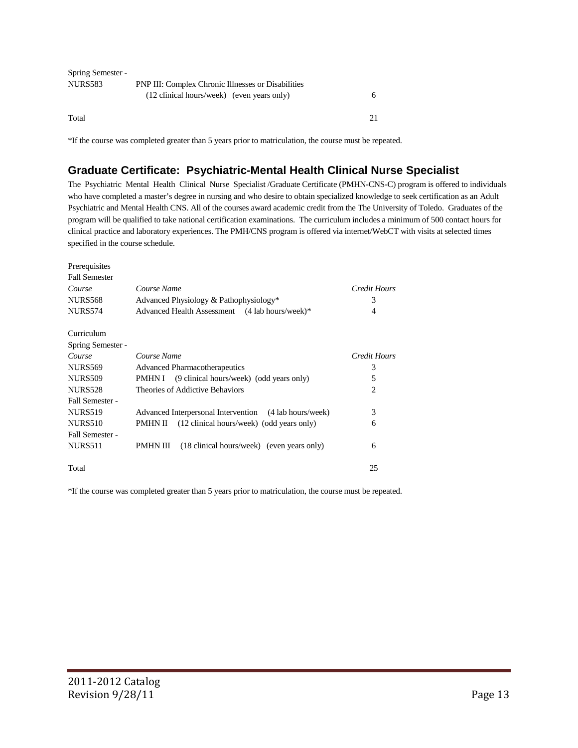| Spring Semester - |                                                           |   |  |
|-------------------|-----------------------------------------------------------|---|--|
| NURS583           | <b>PNP III: Complex Chronic Illnesses or Disabilities</b> |   |  |
|                   | (12 clinical hours/week) (even years only)                | h |  |
| Total             |                                                           |   |  |

\*If the course was completed greater than 5 years prior to matriculation, the course must be repeated.

#### **Graduate Certificate: Psychiatric-Mental Health Clinical Nurse Specialist**

The Psychiatric Mental Health Clinical Nurse Specialist /Graduate Certificate (PMHN-CNS-C) program is offered to individuals who have completed a master's degree in nursing and who desire to obtain specialized knowledge to seek certification as an Adult Psychiatric and Mental Health CNS. All of the courses award academic credit from the The University of Toledo. Graduates of the program will be qualified to take national certification examinations. The curriculum includes a minimum of 500 contact hours for clinical practice and laboratory experiences. The PMH/CNS program is offered via internet/WebCT with visits at selected times specified in the course schedule.

| Prerequisites        |                                                        |                     |
|----------------------|--------------------------------------------------------|---------------------|
| <b>Fall Semester</b> |                                                        |                     |
| Course               | Course Name                                            | <b>Credit Hours</b> |
| <b>NURS568</b>       | Advanced Physiology & Pathophysiology*                 | 3                   |
| <b>NURS574</b>       | Advanced Health Assessment (4 lab hours/week)*         | 4                   |
| Curriculum           |                                                        |                     |
| Spring Semester -    |                                                        |                     |
| Course               | Course Name                                            | Credit Hours        |
| <b>NURS569</b>       | <b>Advanced Pharmacotherapeutics</b>                   | 3                   |
| <b>NURS509</b>       | (9 clinical hours/week) (odd years only)<br>PMHN I     | 5                   |
| <b>NURS528</b>       | Theories of Addictive Behaviors                        | 2                   |
| Fall Semester -      |                                                        |                     |
| <b>NURS519</b>       | Advanced Interpersonal Intervention (4 lab hours/week) | 3                   |
| <b>NURS510</b>       | (12 clinical hours/week) (odd years only)<br>PMHN II   | 6                   |
| Fall Semester -      |                                                        |                     |
| NURS511              | PMHN III<br>(18 clinical hours/week) (even years only) | 6                   |
| Total                |                                                        | 25                  |

\*If the course was completed greater than 5 years prior to matriculation, the course must be repeated.